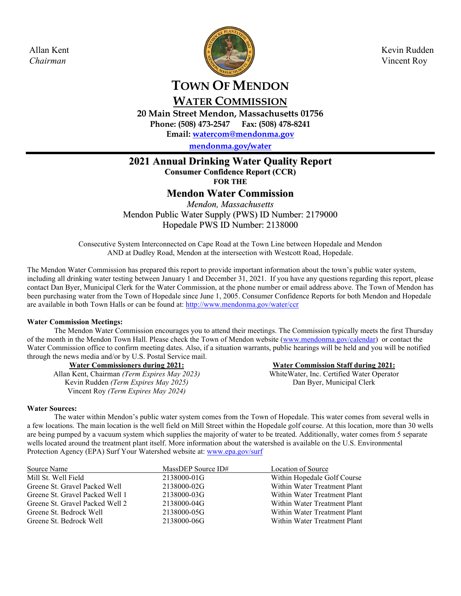

# **WATER COMMISSION**

**20 Main Street Mendon, Massachusetts 01756 Phone: (508) 473-2547 Fax: (508) 478-8241** 

**Email: watercom@mendonma.gov** 

**mendonma.gov/water**

# **2021 Annual Drinking Water Quality Report**

**Consumer Confidence Report (CCR)**

**FOR THE**

# **Mendon Water Commission**

*Mendon, Massachusetts* Mendon Public Water Supply (PWS) ID Number: 2179000 Hopedale PWS ID Number: 2138000

Consecutive System Interconnected on Cape Road at the Town Line between Hopedale and Mendon AND at Dudley Road, Mendon at the intersection with Westcott Road, Hopedale.

The Mendon Water Commission has prepared this report to provide important information about the town's public water system, including all drinking water testing between January 1 and December 31, 2021. If you have any questions regarding this report, please contact Dan Byer, Municipal Clerk for the Water Commission, at the phone number or email address above. The Town of Mendon has been purchasing water from the Town of Hopedale since June 1, 2005. Consumer Confidence Reports for both Mendon and Hopedale are available in both Town Halls or can be found at: http://www.mendonma.gov/water/ccr

# **Water Commission Meetings:**

The Mendon Water Commission encourages you to attend their meetings. The Commission typically meets the first Thursday of the month in the Mendon Town Hall. Please check the Town of Mendon website (www.mendonma.gov/calendar) or contact the Water Commission office to confirm meeting dates. Also, if a situation warrants, public hearings will be held and you will be notified through the news media and/or by U.S. Postal Service mail.

**Water Commissioners during 2021:**  Allan Kent, Chairman *(Term Expires May 2023)*  Kevin Rudden *(Term Expires May 2025)* Vincent Roy *(Term Expires May 2024)*

**Water Commission Staff during 2021:** 

WhiteWater, Inc. Certified Water Operator Dan Byer, Municipal Clerk

# **Water Sources:**

The water within Mendon's public water system comes from the Town of Hopedale. This water comes from several wells in a few locations. The main location is the well field on Mill Street within the Hopedale golf course. At this location, more than 30 wells are being pumped by a vacuum system which supplies the majority of water to be treated. Additionally, water comes from 5 separate wells located around the treatment plant itself. More information about the watershed is available on the U.S. Environmental Protection Agency (EPA) Surf Your Watershed website at: www.epa.gov/surf

| Source Name                     | MassDEP Source ID# | Location of Source           |
|---------------------------------|--------------------|------------------------------|
| Mill St. Well Field             | 2138000-01G        | Within Hopedale Golf Course  |
| Greene St. Gravel Packed Well   | 2138000-02G        | Within Water Treatment Plant |
| Greene St. Gravel Packed Well 1 | 2138000-03G        | Within Water Treatment Plant |
| Greene St. Gravel Packed Well 2 | 2138000-04G        | Within Water Treatment Plant |
| Greene St. Bedrock Well         | 2138000-05G        | Within Water Treatment Plant |
| Greene St. Bedrock Well         | 2138000-06G        | Within Water Treatment Plant |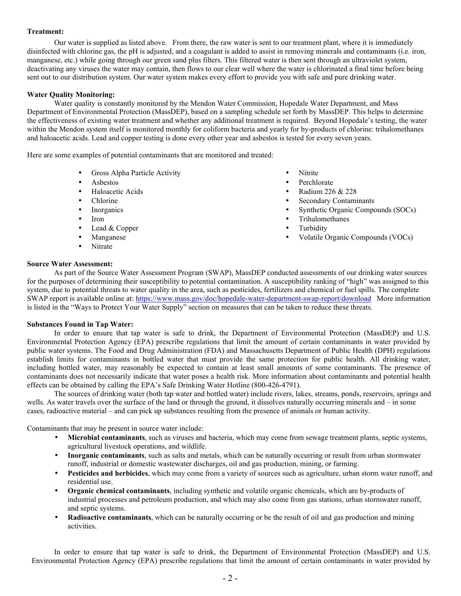# **Treatment:**

Our water is supplied as listed above. From there, the raw water is sent to our treatment plant, where it is immediately disinfected with chlorine gas, the pH is adjusted, and a coagulant is added to assist in removing minerals and contaminants (i.e. iron, manganese, etc.) while going through our green sand plus filters. This filtered water is then sent through an ultraviolet system, deactivating any viruses the water may contain, then flows to our clear well where the water is chlorinated a final time before being sent out to our distribution system. Our water system makes every effort to provide you with safe and pure drinking water.

# **Water Quality Monitoring:**

Water quality is constantly monitored by the Mendon Water Commission, Hopedale Water Department, and Mass Department of Environmental Protection (MassDEP), based on a sampling schedule set forth by MassDEP. This helps to determine the effectiveness of existing water treatment and whether any additional treatment is required. Beyond Hopedale's testing, the water within the Mendon system itself is monitored monthly for coliform bacteria and yearly for by-products of chlorine: trihalomethanes and haloacetic acids. Lead and copper testing is done every other year and asbestos is tested for every seven years.

Here are some examples of potential contaminants that are monitored and treated:

- Gross Alpha Particle Activity Nitrite
- 
- 
- 
- 
- 
- Lead & Copper
- 
- Nitrate
- 
- Asbestos Perchlorate
- Haloacetic Acids Radium 226 & 228
- Chlorine Secondary Contaminants
- Inorganics Synthetic Organic Compounds (SOCs)
- **Figure 1.1 Iron •** Trihalomethanes
	-
- Manganese Volatile Organic Compounds (VOCs)

# **Source Water Assessment:**

As part of the Source Water Assessment Program (SWAP), MassDEP conducted assessments of our drinking water sources for the purposes of determining their susceptibility to potential contamination. A susceptibility ranking of "high" was assigned to this system, due to potential threats to water quality in the area, such as pesticides, fertilizers and chemical or fuel spills. The complete SWAP report is available online at: https://www.mass.gov/doc/hopedale-water-department-swap-report/download More information is listed in the "Ways to Protect Your Water Supply" section on measures that can be taken to reduce these threats.

# **Substances Found in Tap Water:**

In order to ensure that tap water is safe to drink, the Department of Environmental Protection (MassDEP) and U.S. Environmental Protection Agency (EPA) prescribe regulations that limit the amount of certain contaminants in water provided by public water systems. The Food and Drug Administration (FDA) and Massachusetts Department of Public Health (DPH) regulations establish limits for contaminants in bottled water that must provide the same protection for public health. All drinking water, including bottled water, may reasonably be expected to contain at least small amounts of some contaminants. The presence of contaminants does not necessarily indicate that water poses a health risk. More information about contaminants and potential health effects can be obtained by calling the EPA's Safe Drinking Water Hotline (800-426-4791).

The sources of drinking water (both tap water and bottled water) include rivers, lakes, streams, ponds, reservoirs, springs and wells. As water travels over the surface of the land or through the ground, it dissolves naturally occurring minerals and – in some cases, radioactive material – and can pick up substances resulting from the presence of animals or human activity.

Contaminants that may be present in source water include:

- **Microbial contaminants**, such as viruses and bacteria, which may come from sewage treatment plants, septic systems, agricultural livestock operations, and wildlife.
- **Inorganic contaminants**, such as salts and metals, which can be naturally occurring or result from urban stormwater runoff, industrial or domestic wastewater discharges, oil and gas production, mining, or farming.
- **Pesticides and herbicides**, which may come from a variety of sources such as agriculture, urban storm water runoff, and residential use.
- **Organic chemical contaminants**, including synthetic and volatile organic chemicals, which are by-products of industrial processes and petroleum production, and which may also come from gas stations, urban stormwater runoff, and septic systems.
- **Radioactive contaminants**, which can be naturally occurring or be the result of oil and gas production and mining activities.

In order to ensure that tap water is safe to drink, the Department of Environmental Protection (MassDEP) and U.S. Environmental Protection Agency (EPA) prescribe regulations that limit the amount of certain contaminants in water provided by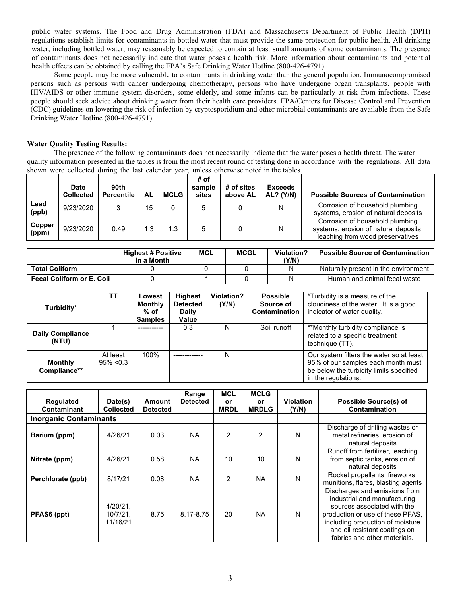public water systems. The Food and Drug Administration (FDA) and Massachusetts Department of Public Health (DPH) regulations establish limits for contaminants in bottled water that must provide the same protection for public health. All drinking water, including bottled water, may reasonably be expected to contain at least small amounts of some contaminants. The presence of contaminants does not necessarily indicate that water poses a health risk. More information about contaminants and potential health effects can be obtained by calling the EPA's Safe Drinking Water Hotline (800-426-4791).

Some people may be more vulnerable to contaminants in drinking water than the general population. Immunocompromised persons such as persons with cancer undergoing chemotherapy, persons who have undergone organ transplants, people with HIV/AIDS or other immune system disorders, some elderly, and some infants can be particularly at risk from infections. These people should seek advice about drinking water from their health care providers. EPA/Centers for Disease Control and Prevention (CDC) guidelines on lowering the risk of infection by cryptosporidium and other microbial contaminants are available from the Safe Drinking Water Hotline (800-426-4791).

# **Water Quality Testing Results:**

The presence of the following contaminants does not necessarily indicate that the water poses a health threat. The water quality information presented in the tables is from the most recent round of testing done in accordance with the regulations. All data shown were collected during the last calendar year, unless otherwise noted in the tables.

|                 | Date<br><b>Collected</b> | 90th<br><b>Percentile</b> | <b>AL</b> | <b>MCLG</b> | # of<br>sample<br>sites | # of sites<br>above AL | <b>Exceeds</b><br><b>AL?</b> (Y/N) | <b>Possible Sources of Contamination</b>                                                                     |
|-----------------|--------------------------|---------------------------|-----------|-------------|-------------------------|------------------------|------------------------------------|--------------------------------------------------------------------------------------------------------------|
| Lead<br>(ppb)   | 9/23/2020                |                           | 15        |             | 5                       |                        | Ν                                  | Corrosion of household plumbing<br>systems, erosion of natural deposits                                      |
| Copper<br>(ppm) | 9/23/2020                | 0.49                      | 1.3       | 1.3         | 5                       |                        | Ν                                  | Corrosion of household plumbing<br>systems, erosion of natural deposits,<br>leaching from wood preservatives |

|                                  | <b>Highest # Positive</b><br>in a Month | MCL | <b>MCGL</b> | <b>Violation?</b><br>(Y/N) | <b>Possible Source of Contamination</b> |
|----------------------------------|-----------------------------------------|-----|-------------|----------------------------|-----------------------------------------|
| <b>Total Coliform</b>            |                                         |     |             |                            | Naturally present in the environment    |
| <b>Fecal Coliform or E. Coli</b> |                                         |     |             |                            | Human and animal fecal waste            |

| Turbidity*                       | тт                       | Lowest<br><b>Monthly</b><br>$%$ of<br><b>Samples</b> | <b>Highest</b><br><b>Detected</b><br><b>Daily</b><br>Value | <b>Violation?</b><br>(Y/N) | <b>Possible</b><br>Source of<br><b>Contamination</b> | *Turbidity is a measure of the<br>cloudiness of the water. It is a good<br>indicator of water quality.                                           |
|----------------------------------|--------------------------|------------------------------------------------------|------------------------------------------------------------|----------------------------|------------------------------------------------------|--------------------------------------------------------------------------------------------------------------------------------------------------|
| <b>Daily Compliance</b><br>(NTU) |                          | -----------                                          | 0.3                                                        | N                          | Soil runoff                                          | **Monthly turbidity compliance is<br>related to a specific treatment<br>technique (TT).                                                          |
| <b>Monthly</b><br>Compliance**   | At least<br>$95\% < 0.3$ | 100%                                                 |                                                            | N                          |                                                      | Our system filters the water so at least<br>95% of our samples each month must<br>be below the turbidity limits specified<br>in the regulations. |

| Regulated<br>Contaminant      | Date(s)<br><b>Collected</b>         | Amount<br><b>Detected</b> | Range<br><b>Detected</b> | <b>MCL</b><br>or<br><b>MRDL</b> | <b>MCLG</b><br><b>or</b><br><b>MRDLG</b> | <b>Violation</b><br>(Y/N) | <b>Possible Source(s) of</b><br>Contamination                                                                                                                                                                                         |
|-------------------------------|-------------------------------------|---------------------------|--------------------------|---------------------------------|------------------------------------------|---------------------------|---------------------------------------------------------------------------------------------------------------------------------------------------------------------------------------------------------------------------------------|
| <b>Inorganic Contaminants</b> |                                     |                           |                          |                                 |                                          |                           |                                                                                                                                                                                                                                       |
| Barium (ppm)                  | 4/26/21                             | 0.03                      | <b>NA</b>                | $\mathfrak{p}$                  | $\mathcal{P}$                            | N                         | Discharge of drilling wastes or<br>metal refineries, erosion of<br>natural deposits                                                                                                                                                   |
| Nitrate (ppm)                 | 4/26/21                             | 0.58                      | <b>NA</b>                | 10                              | 10                                       | N                         | Runoff from fertilizer, leaching<br>from septic tanks, erosion of<br>natural deposits                                                                                                                                                 |
| Perchlorate (ppb)             | 8/17/21                             | 0.08                      | <b>NA</b>                | $\mathcal{P}$                   | <b>NA</b>                                | N                         | Rocket propellants, fireworks,<br>munitions, flares, blasting agents                                                                                                                                                                  |
| PFAS6 (ppt)                   | 4/20/21,<br>$10/7/21$ ,<br>11/16/21 | 8.75                      | 8.17-8.75                | 20                              | <b>NA</b>                                | N                         | Discharges and emissions from<br>industrial and manufacturing<br>sources associated with the<br>production or use of these PFAS.<br>including production of moisture<br>and oil resistant coatings on<br>fabrics and other materials. |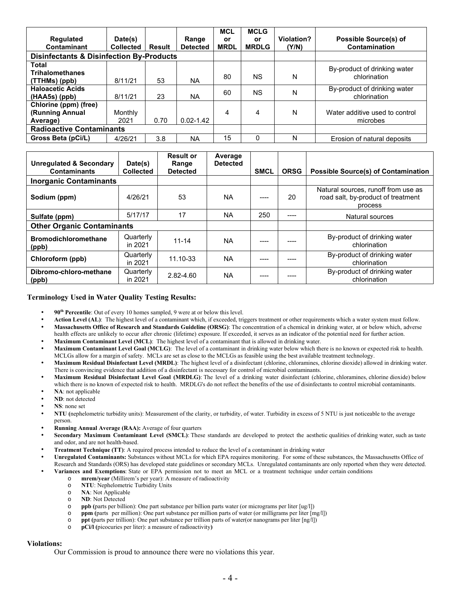| <b>Regulated</b><br>Contaminant                         | Date(s)<br><b>Collected</b> | Result | Range<br><b>Detected</b> | <b>MCL</b><br>or<br><b>MRDL</b> | <b>MCLG</b><br><b>or</b><br><b>MRDLG</b> | Violation?<br>(Y/N) | <b>Possible Source(s) of</b><br>Contamination |
|---------------------------------------------------------|-----------------------------|--------|--------------------------|---------------------------------|------------------------------------------|---------------------|-----------------------------------------------|
| <b>Disinfectants &amp; Disinfection By-Products</b>     |                             |        |                          |                                 |                                          |                     |                                               |
| <b>Total</b><br><b>Trihalomethanes</b><br>(TTHMs) (ppb) | 8/11/21                     | 53     | <b>NA</b>                | 80                              | ΝS                                       | N                   | By-product of drinking water<br>chlorination  |
| <b>Haloacetic Acids</b><br>$(HAA5s)$ (ppb)              | 8/11/21                     | 23     | <b>NA</b>                | 60                              | ΝS                                       | N                   | By-product of drinking water<br>chlorination  |
| Chlorine (ppm) (free)<br>(Running Annual<br>Average)    | Monthly<br>2021             | 0.70   | $0.02 - 1.42$            | 4                               | 4                                        | N                   | Water additive used to control<br>microbes    |
| <b>Radioactive Contaminants</b>                         |                             |        |                          |                                 |                                          |                     |                                               |
| Gross Beta (pCi/L)                                      | 4/26/21                     | 3.8    | <b>NA</b>                | 15                              | $\Omega$                                 | N                   | Erosion of natural deposits                   |

| <b>Unregulated &amp; Secondary</b><br><b>Contaminants</b> | Date(s)<br><b>Collected</b> | <b>Result or</b><br>Range<br><b>Detected</b> | Average<br><b>Detected</b> | <b>SMCL</b> | <b>ORSG</b> | <b>Possible Source(s) of Contamination</b>                                           |
|-----------------------------------------------------------|-----------------------------|----------------------------------------------|----------------------------|-------------|-------------|--------------------------------------------------------------------------------------|
| <b>Inorganic Contaminants</b>                             |                             |                                              |                            |             |             |                                                                                      |
| Sodium (ppm)                                              | 4/26/21                     | 53                                           | <b>NA</b>                  |             | 20          | Natural sources, runoff from use as<br>road salt, by-product of treatment<br>process |
| Sulfate (ppm)                                             | 5/17/17                     | 17                                           | <b>NA</b>                  | 250         | ----        | Natural sources                                                                      |
| <b>Other Organic Contaminants</b>                         |                             |                                              |                            |             |             |                                                                                      |
| <b>Bromodichloromethane</b><br>(ppb)                      | Quarterly<br>in 2021        | $11 - 14$                                    | <b>NA</b>                  |             |             | By-product of drinking water<br>chlorination                                         |
| Chloroform (ppb)                                          | Quarterly<br>in 2021        | 11.10-33                                     | <b>NA</b>                  | ----        | ----        | By-product of drinking water<br>chlorination                                         |
| Dibromo-chloro-methane<br>(ppb)                           | Quarterly<br>in 2021        | 2.82-4.60                                    | <b>NA</b>                  | ----        |             | By-product of drinking water<br>chlorination                                         |

# **Terminology Used in Water Quality Testing Results:**

- **90th Percentile**: Out of every 10 homes sampled, 9 were at or below this level.
- **Action Level (AL)**: The highest level of a contaminant which, if exceeded, triggers treatment or other requirements which a water system must follow.
- **Massachusetts Office of Research and Standards Guideline (ORSG)**: The concentration of a chemical in drinking water, at or below which, adverse health effects are unlikely to occur after chronic (lifetime) exposure. If exceeded, it serves as an indicator of the potential need for further action.
- **Maximum Contaminant Level (MCL)**: The highest level of a contaminant that is allowed in drinking water.
- **Maximum Contaminant Level Goal (MCLG)**: The level of a contaminant in drinking water below which there is no known or expected risk to health. MCLGs allow for a margin of safety. MCLs are set as close to the MCLGs as feasible using the best available treatment technology.
- **Maximum Residual Disinfectant Level (MRDL)**: The highest level of a disinfectant (chlorine, chloramines, chlorine dioxide) allowed in drinking water. There is convincing evidence that addition of a disinfectant is necessary for control of microbial contaminants.
- **Maximum Residual Disinfectant Level Goal (MRDLG)**: The level of a drinking water disinfectant (chlorine, chloramines, chlorine dioxide) below which there is no known of expected risk to health. MRDLG's do not reflect the benefits of the use of disinfectants to control microbial contaminants.
- **NA**: not applicable
- **ND**: not detected
- **NS**: none set
- **NTU (**nephelometric turbidity units): Measurement of the clarity, or turbidity, of water. Turbidity in excess of 5 NTU is just noticeable to the average person.
- **Running Annual Average (RAA):** Average of four quarters
- **Secondary Maximum Contaminant Level (SMCL)**: These standards are developed to protect the aesthetic qualities of drinking water, such as taste and odor, and are not health-based.
- **Treatment Technique (TT)**: A required process intended to reduce the level of a contaminant in drinking water
- **Unregulated Contaminants:** Substances without MCLs for which EPA requires monitoring. For some of these substances, the Massachusetts Office of Research and Standards (ORS) has developed state guidelines or secondary MCLs. Unregulated contaminants are only reported when they were detected.
	- **Variances and Exemptions**: State or EPA permission not to meet an MCL or a treatment technique under certain conditions
		- o **mrem/year** (Millirem's per year): A measure of radioactivity
			- o **NTU**: Nephelometric Turbidity Units
			- o **NA**: Not Applicable
			- o **ND**: Not Detected
			- o **ppb (**parts per billion): One part substance per billion parts water (or micrograms per liter [ug/l])
			- o **ppm (**parts per million): One part substance per million parts of water (or milligrams per liter [mg/l])
			- o **ppt (**parts per trillion): One part substance per trillion parts of water(or nanograms per liter [ng/l])
			- o **pCi/l (**picocuries per liter): a measure of radioactivity**)**

# **Violations:**

Our Commission is proud to announce there were no violations this year.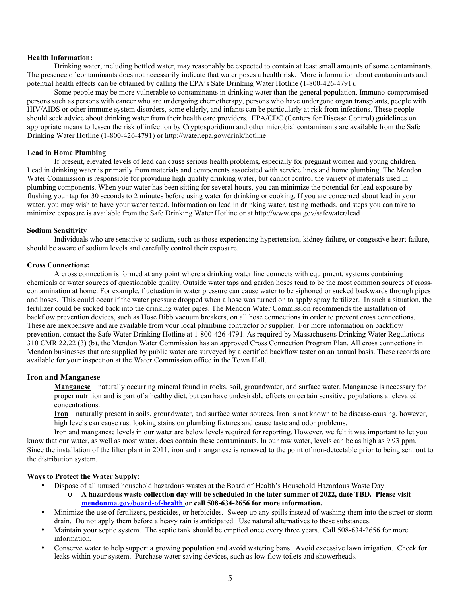# **Health Information:**

Drinking water, including bottled water, may reasonably be expected to contain at least small amounts of some contaminants. The presence of contaminants does not necessarily indicate that water poses a health risk. More information about contaminants and potential health effects can be obtained by calling the EPA's Safe Drinking Water Hotline (1-800-426-4791).

Some people may be more vulnerable to contaminants in drinking water than the general population. Immuno-compromised persons such as persons with cancer who are undergoing chemotherapy, persons who have undergone organ transplants, people with HIV/AIDS or other immune system disorders, some elderly, and infants can be particularly at risk from infections. These people should seek advice about drinking water from their health care providers. EPA/CDC (Centers for Disease Control) guidelines on appropriate means to lessen the risk of infection by Cryptosporidium and other microbial contaminants are available from the Safe Drinking Water Hotline (1-800-426-4791) or http://water.epa.gov/drink/hotline

# **Lead in Home Plumbing**

If present, elevated levels of lead can cause serious health problems, especially for pregnant women and young children. Lead in drinking water is primarily from materials and components associated with service lines and home plumbing. The Mendon Water Commission is responsible for providing high quality drinking water, but cannot control the variety of materials used in plumbing components. When your water has been sitting for several hours, you can minimize the potential for lead exposure by flushing your tap for 30 seconds to 2 minutes before using water for drinking or cooking. If you are concerned about lead in your water, you may wish to have your water tested. Information on lead in drinking water, testing methods, and steps you can take to minimize exposure is available from the Safe Drinking Water Hotline or at http://www.epa.gov/safewater/lead

#### **Sodium Sensitivity**

Individuals who are sensitive to sodium, such as those experiencing hypertension, kidney failure, or congestive heart failure, should be aware of sodium levels and carefully control their exposure.

#### **Cross Connections:**

A cross connection is formed at any point where a drinking water line connects with equipment, systems containing chemicals or water sources of questionable quality. Outside water taps and garden hoses tend to be the most common sources of crosscontamination at home. For example, fluctuation in water pressure can cause water to be siphoned or sucked backwards through pipes and hoses. This could occur if the water pressure dropped when a hose was turned on to apply spray fertilizer. In such a situation, the fertilizer could be sucked back into the drinking water pipes. The Mendon Water Commission recommends the installation of backflow prevention devices, such as Hose Bibb vacuum breakers, on all hose connections in order to prevent cross connections. These are inexpensive and are available from your local plumbing contractor or supplier. For more information on backflow prevention, contact the Safe Water Drinking Hotline at 1-800-426-4791. As required by Massachusetts Drinking Water Regulations 310 CMR 22.22 (3) (b), the Mendon Water Commission has an approved Cross Connection Program Plan. All cross connections in Mendon businesses that are supplied by public water are surveyed by a certified backflow tester on an annual basis. These records are available for your inspection at the Water Commission office in the Town Hall.

# **Iron and Manganese**

**Manganese**—naturally occurring mineral found in rocks, soil, groundwater, and surface water. Manganese is necessary for proper nutrition and is part of a healthy diet, but can have undesirable effects on certain sensitive populations at elevated concentrations.

**Iron**—naturally present in soils, groundwater, and surface water sources. Iron is not known to be disease-causing, however, high levels can cause rust looking stains on plumbing fixtures and cause taste and odor problems.

Iron and manganese levels in our water are below levels required for reporting. However, we felt it was important to let you know that our water, as well as most water, does contain these contaminants. In our raw water, levels can be as high as 9.93 ppm. Since the installation of the filter plant in 2011, iron and manganese is removed to the point of non-detectable prior to being sent out to the distribution system.

# **Ways to Protect the Water Supply:**

- Dispose of all unused household hazardous wastes at the Board of Health's Household Hazardous Waste Day.
	- o **A hazardous waste collection day will be scheduled in the later summer of 2022, date TBD. Please visit mendonma.gov/board-of-health or call 508-634-2656 for more information.**
- Minimize the use of fertilizers, pesticides, or herbicides. Sweep up any spills instead of washing them into the street or storm drain. Do not apply them before a heavy rain is anticipated. Use natural alternatives to these substances.
- Maintain your septic system. The septic tank should be emptied once every three years. Call 508-634-2656 for more information.
- Conserve water to help support a growing population and avoid watering bans. Avoid excessive lawn irrigation. Check for leaks within your system. Purchase water saving devices, such as low flow toilets and showerheads.